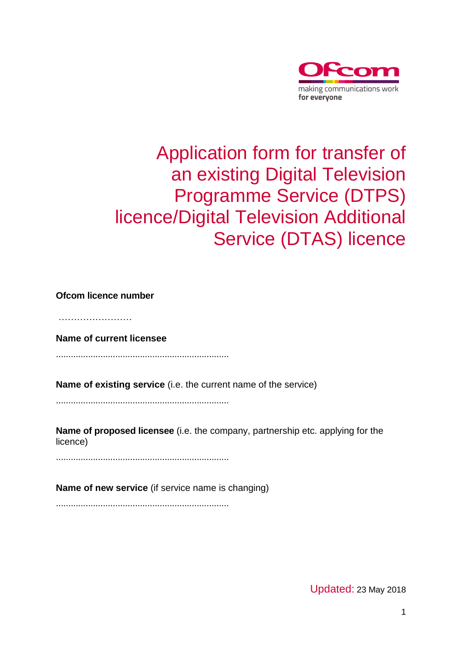

## Application form for transfer of an existing Digital Television Programme Service (DTPS) licence/Digital Television Additional Service (DTAS) licence

**Ofcom licence number**

………………………

**Name of current licensee**

......................................................................

**Name of existing service** (i.e. the current name of the service)

......................................................................

**Name of proposed licensee** (i.e. the company, partnership etc. applying for the licence)

......................................................................

**Name of new service** (if service name is changing)

......................................................................

Updated: 23 May 2018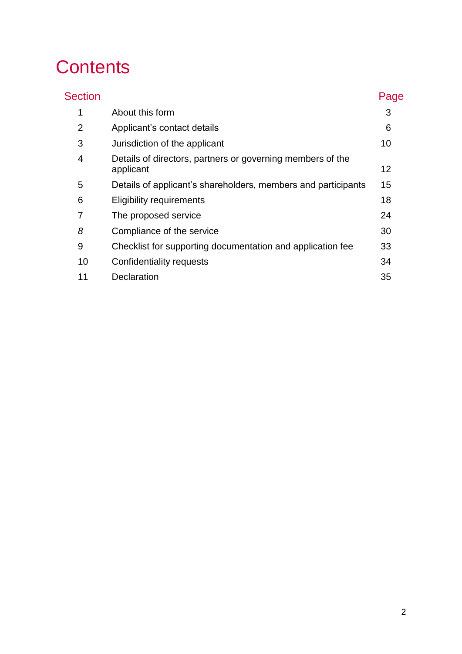# **Contents**

| <b>Section</b> |                                                                         | Page |
|----------------|-------------------------------------------------------------------------|------|
| 1              | About this form                                                         | 3    |
| 2              | Applicant's contact details                                             | 6    |
| 3              | Jurisdiction of the applicant                                           | 10   |
| 4              | Details of directors, partners or governing members of the<br>applicant | 12   |
| 5              | Details of applicant's shareholders, members and participants           | 15   |
| 6              | <b>Eligibility requirements</b>                                         | 18   |
| 7              | The proposed service                                                    | 24   |
| 8              | Compliance of the service                                               | 30   |
| 9              | Checklist for supporting documentation and application fee              | 33   |
| 10             | Confidentiality requests                                                | 34   |
| 11             | Declaration                                                             | 35   |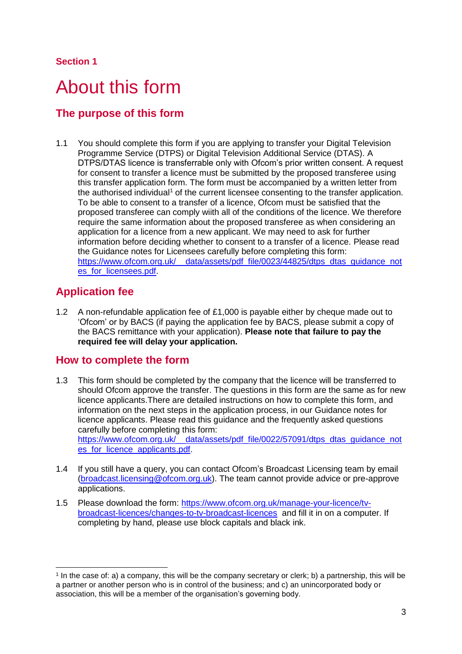## <span id="page-2-0"></span>About this form

## **The purpose of this form**

1.1 You should complete this form if you are applying to transfer your Digital Television Programme Service (DTPS) or Digital Television Additional Service (DTAS). A DTPS/DTAS licence is transferrable only with Ofcom's prior written consent. A request for consent to transfer a licence must be submitted by the proposed transferee using this transfer application form. The form must be accompanied by a written letter from the authorised individual<sup>1</sup> of the current licensee consenting to the transfer application. To be able to consent to a transfer of a licence, Ofcom must be satisfied that the proposed transferee can comply wiith all of the conditions of the licence. We therefore require the same information about the proposed transferee as when considering an application for a licence from a new applicant. We may need to ask for further information before deciding whether to consent to a transfer of a licence. Please read the Guidance notes for Licensees carefully before completing this form: https://www.ofcom.org.uk/ data/assets/pdf file/0023/44825/dtps dtas quidance not es for licensees.pdf

## **Application fee**

-

1.2 A non-refundable application fee of £1,000 is payable either by cheque made out to 'Ofcom' or by BACS (if paying the application fee by BACS, please submit a copy of the BACS remittance with your application). **Please note that failure to pay the required fee will delay your application.**

## **How to complete the form**

- 1.3 This form should be completed by the company that the licence will be transferred to should Ofcom approve the transfer. The questions in this form are the same as for new licence applicants.There are detailed instructions on how to complete this form, and information on the next steps in the application process, in our Guidance notes for licence applicants. Please read this guidance and the frequently asked questions carefully before completing this form: https://www.ofcom.org.uk/ data/assets/pdf\_file/0022/57091/dtps\_dtas\_guidance\_not es for licence applicants.pdf.
- 1.4 If you still have a query, you can contact Ofcom's Broadcast Licensing team by email [\(broadcast.licensing@ofcom.org.uk\)](mailto:broadcast.licensing@ofcom.org.uk). The team cannot provide advice or pre-approve applications.
- 1.5 Please download the form: [https://www.ofcom.org.uk/manage-your-licence/tv](https://www.ofcom.org.uk/manage-your-licence/tv-broadcast-licences/changes-to-tv-broadcast-licences)[broadcast-licences/changes-to-tv-broadcast-licences](https://www.ofcom.org.uk/manage-your-licence/tv-broadcast-licences/changes-to-tv-broadcast-licences) and fill it in on a computer. If completing by hand, please use block capitals and black ink.

<sup>1</sup> In the case of: a) a company, this will be the company secretary or clerk; b) a partnership, this will be a partner or another person who is in control of the business; and c) an unincorporated body or association, this will be a member of the organisation's governing body.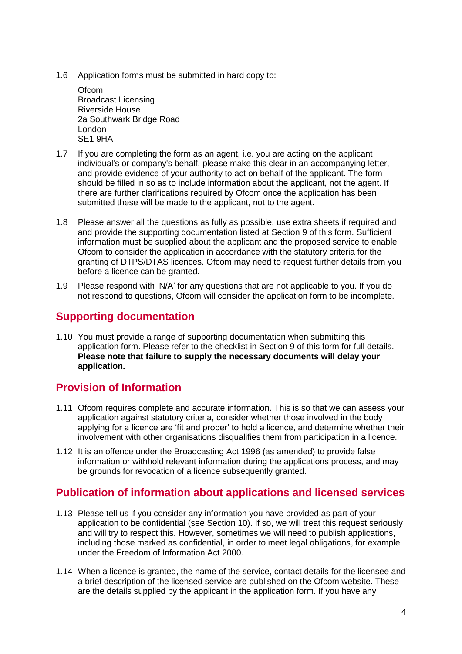1.6 Application forms must be submitted in hard copy to:

**Ofcom** Broadcast Licensing Riverside House 2a Southwark Bridge Road London SE1 9HA

- 1.7 If you are completing the form as an agent, i.e. you are acting on the applicant individual's or company's behalf, please make this clear in an accompanying letter, and provide evidence of your authority to act on behalf of the applicant. The form should be filled in so as to include information about the applicant, not the agent. If there are further clarifications required by Ofcom once the application has been submitted these will be made to the applicant, not to the agent.
- 1.8 Please answer all the questions as fully as possible, use extra sheets if required and and provide the supporting documentation listed at Section 9 of this form. Sufficient information must be supplied about the applicant and the proposed service to enable Ofcom to consider the application in accordance with the statutory criteria for the granting of DTPS/DTAS licences. Ofcom may need to request further details from you before a licence can be granted.
- 1.9 Please respond with 'N/A' for any questions that are not applicable to you. If you do not respond to questions, Ofcom will consider the application form to be incomplete.

## **Supporting documentation**

1.10 You must provide a range of supporting documentation when submitting this application form. Please refer to the checklist in Section 9 of this form for full details. **Please note that failure to supply the necessary documents will delay your application.**

## **Provision of Information**

- 1.11 Ofcom requires complete and accurate information. This is so that we can assess your application against statutory criteria, consider whether those involved in the body applying for a licence are 'fit and proper' to hold a licence, and determine whether their involvement with other organisations disqualifies them from participation in a licence.
- 1.12 It is an offence under the Broadcasting Act 1996 (as amended) to provide false information or withhold relevant information during the applications process, and may be grounds for revocation of a licence subsequently granted.

## **Publication of information about applications and licensed services**

- 1.13 Please tell us if you consider any information you have provided as part of your application to be confidential (see Section 10). If so, we will treat this request seriously and will try to respect this. However, sometimes we will need to publish applications, including those marked as confidential, in order to meet legal obligations, for example under the Freedom of Information Act 2000.
- 1.14 When a licence is granted, the name of the service, contact details for the licensee and a brief description of the licensed service are published on the Ofcom website. These are the details supplied by the applicant in the application form. If you have any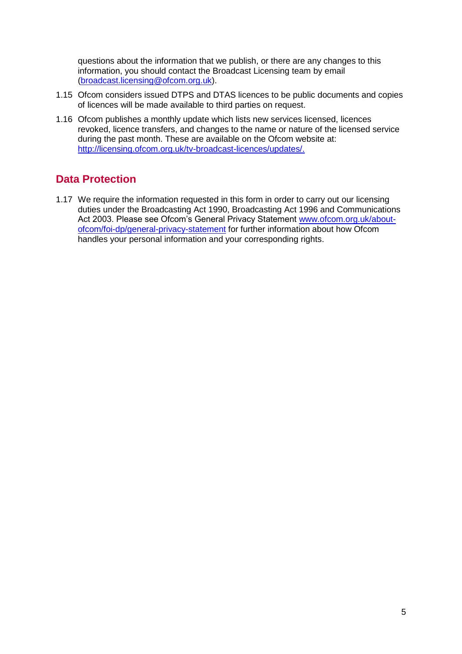questions about the information that we publish, or there are any changes to this information, you should contact the Broadcast Licensing team by email [\(broadcast.licensing@ofcom.org.uk\)](mailto:broadcast.licensing@ofcom.org.uk).

- 1.15 Ofcom considers issued DTPS and DTAS licences to be public documents and copies of licences will be made available to third parties on request.
- 1.16 Ofcom publishes a monthly update which lists new services licensed, licences revoked, licence transfers, and changes to the name or nature of the licensed service during the past month. These are available on the Ofcom website at: [http://licensing.ofcom.org.uk/tv-broadcast-licences/updates/.](http://licensing.ofcom.org.uk/tv-broadcast-licences/updates/)

## **Data Protection**

1.17 We require the information requested in this form in order to carry out our licensing duties under the Broadcasting Act 1990, Broadcasting Act 1996 and Communications Act 2003. Please see Ofcom's General Privacy Statement [www.ofcom.org.uk/about](http://www.ofcom.org.uk/about-ofcom/foi-dp/general-privacy-statement)[ofcom/foi-dp/general-privacy-statement](http://www.ofcom.org.uk/about-ofcom/foi-dp/general-privacy-statement) for further information about how Ofcom handles your personal information and your corresponding rights.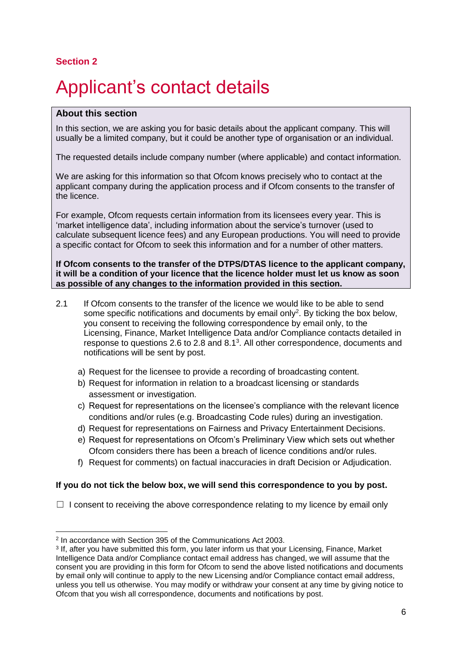# <span id="page-5-0"></span>Applicant's contact details

#### **About this section**

In this section, we are asking you for basic details about the applicant company. This will usually be a limited company, but it could be another type of organisation or an individual.

The requested details include company number (where applicable) and contact information.

We are asking for this information so that Ofcom knows precisely who to contact at the applicant company during the application process and if Ofcom consents to the transfer of the licence.

For example, Ofcom requests certain information from its licensees every year. This is 'market intelligence data', including information about the service's turnover (used to calculate subsequent licence fees) and any European productions. You will need to provide a specific contact for Ofcom to seek this information and for a number of other matters.

**If Ofcom consents to the transfer of the DTPS/DTAS licence to the applicant company, it will be a condition of your licence that the licence holder must let us know as soon as possible of any changes to the information provided in this section.** 

- 2.1 If Ofcom consents to the transfer of the licence we would like to be able to send some specific notifications and documents by email only<sup>2</sup>. By ticking the box below, you consent to receiving the following correspondence by email only, to the Licensing, Finance, Market Intelligence Data and/or Compliance contacts detailed in response to questions 2.6 to 2.8 and  $8.1<sup>3</sup>$ . All other correspondence, documents and notifications will be sent by post.
	- a) Request for the licensee to provide a recording of broadcasting content.
	- b) Request for information in relation to a broadcast licensing or standards assessment or investigation.
	- c) Request for representations on the licensee's compliance with the relevant licence conditions and/or rules (e.g. Broadcasting Code rules) during an investigation.
	- d) Request for representations on Fairness and Privacy Entertainment Decisions.
	- e) Request for representations on Ofcom's Preliminary View which sets out whether Ofcom considers there has been a breach of licence conditions and/or rules.
	- f) Request for comments) on factual inaccuracies in draft Decision or Adjudication.

#### **If you do not tick the below box, we will send this correspondence to you by post.**

 $\Box$  I consent to receiving the above correspondence relating to my licence by email only

<sup>-</sup>2 In accordance with Section 395 of the Communications Act 2003.

<sup>3</sup> If, after you have submitted this form, you later inform us that your Licensing, Finance, Market Intelligence Data and/or Compliance contact email address has changed, we will assume that the consent you are providing in this form for Ofcom to send the above listed notifications and documents by email only will continue to apply to the new Licensing and/or Compliance contact email address, unless you tell us otherwise. You may modify or withdraw your consent at any time by giving notice to Ofcom that you wish all correspondence, documents and notifications by post.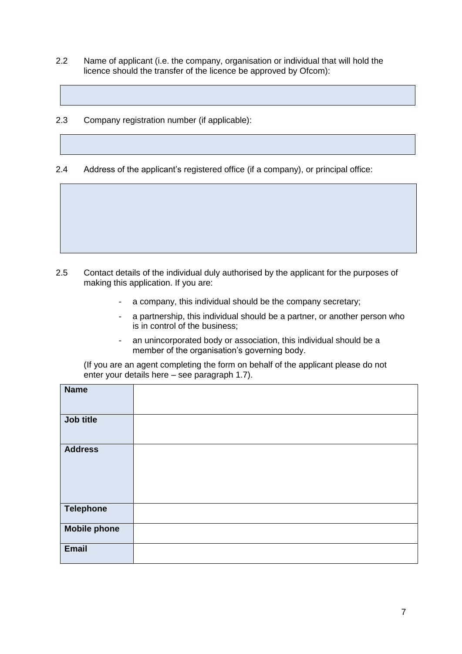- 2.2 Name of applicant (i.e. the company, organisation or individual that will hold the licence should the transfer of the licence be approved by Ofcom):
- 2.3 Company registration number (if applicable):

2.4 Address of the applicant's registered office (if a company), or principal office:

- 2.5 Contact details of the individual duly authorised by the applicant for the purposes of making this application. If you are:
	- a company, this individual should be the company secretary;
	- a partnership, this individual should be a partner, or another person who is in control of the business;
	- an unincorporated body or association, this individual should be a member of the organisation's governing body.

(If you are an agent completing the form on behalf of the applicant please do not enter your details here – see paragraph 1.7).

| <b>Name</b>         |  |
|---------------------|--|
| Job title           |  |
| <b>Address</b>      |  |
| <b>Telephone</b>    |  |
| <b>Mobile phone</b> |  |
| <b>Email</b>        |  |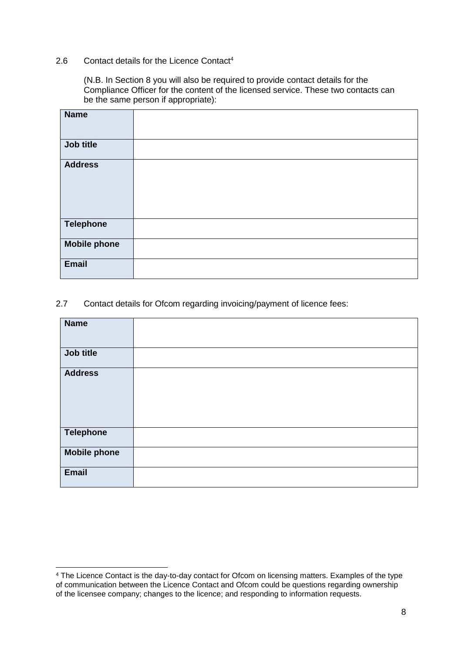#### 2.6 Contact details for the Licence Contact<sup>4</sup>

(N.B. In Section 8 you will also be required to provide contact details for the Compliance Officer for the content of the licensed service. These two contacts can be the same person if appropriate):

| <b>Name</b>         |  |
|---------------------|--|
| Job title           |  |
| <b>Address</b>      |  |
| <b>Telephone</b>    |  |
| <b>Mobile phone</b> |  |
| <b>Email</b>        |  |

#### 2.7 Contact details for Ofcom regarding invoicing/payment of licence fees:

| <b>Name</b>         |  |
|---------------------|--|
| Job title           |  |
| <b>Address</b>      |  |
| <b>Telephone</b>    |  |
| <b>Mobile phone</b> |  |
| <b>Email</b>        |  |

<sup>-</sup><sup>4</sup> The Licence Contact is the day-to-day contact for Ofcom on licensing matters. Examples of the type of communication between the Licence Contact and Ofcom could be questions regarding ownership of the licensee company; changes to the licence; and responding to information requests.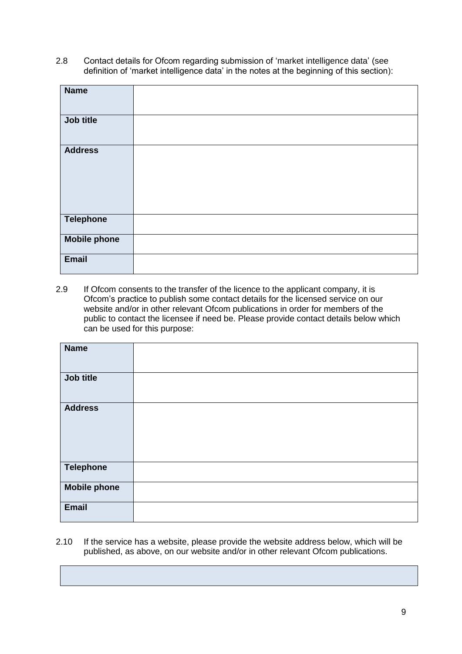2.8 Contact details for Ofcom regarding submission of 'market intelligence data' (see definition of 'market intelligence data' in the notes at the beginning of this section):

| <b>Name</b>         |  |
|---------------------|--|
|                     |  |
| Job title           |  |
|                     |  |
| <b>Address</b>      |  |
|                     |  |
|                     |  |
|                     |  |
|                     |  |
| <b>Telephone</b>    |  |
| <b>Mobile phone</b> |  |
| <b>Email</b>        |  |

2.9 If Ofcom consents to the transfer of the licence to the applicant company, it is Ofcom's practice to publish some contact details for the licensed service on our website and/or in other relevant Ofcom publications in order for members of the public to contact the licensee if need be. Please provide contact details below which can be used for this purpose:

| <b>Name</b>         |  |
|---------------------|--|
| Job title           |  |
| <b>Address</b>      |  |
| <b>Telephone</b>    |  |
| <b>Mobile phone</b> |  |
| <b>Email</b>        |  |

2.10 If the service has a website, please provide the website address below, which will be published, as above, on our website and/or in other relevant Ofcom publications.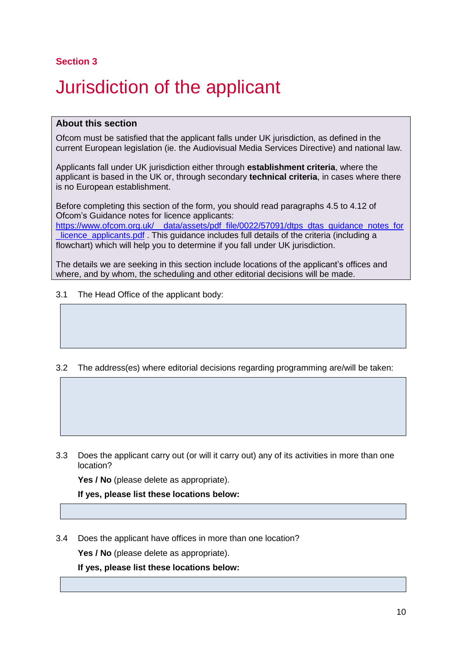# <span id="page-9-0"></span>3 Jurisdiction of the applicant

#### **About this section**

Ofcom must be satisfied that the applicant falls under UK jurisdiction, as defined in the current European legislation (ie. the Audiovisual Media Services Directive) and national law.

Applicants fall under UK jurisdiction either through **establishment criteria**, where the applicant is based in the UK or, through secondary **technical criteria**, in cases where there is no European establishment.

Before completing this section of the form, you should read paragraphs 4.5 to 4.12 of Ofcom's Guidance notes for licence applicants: [https://www.ofcom.org.uk/\\_\\_data/assets/pdf\\_file/0022/57091/dtps\\_dtas\\_guidance\\_notes\\_for](https://www.ofcom.org.uk/__data/assets/pdf_file/0022/57091/dtps_dtas_guidance_notes_for_licence_applicants.pdf) licence\_applicants.pdf . This quidance includes full details of the criteria (including a flowchart) which will help you to determine if you fall under UK jurisdiction.

The details we are seeking in this section include locations of the applicant's offices and where, and by whom, the scheduling and other editorial decisions will be made.

3.1 The Head Office of the applicant body:

3.2 The address(es) where editorial decisions regarding programming are/will be taken:

3.3 Does the applicant carry out (or will it carry out) any of its activities in more than one location?

Yes / No (please delete as appropriate).

**If yes, please list these locations below:**

3.4 Does the applicant have offices in more than one location?

**Yes / No** (please delete as appropriate).

**If yes, please list these locations below:**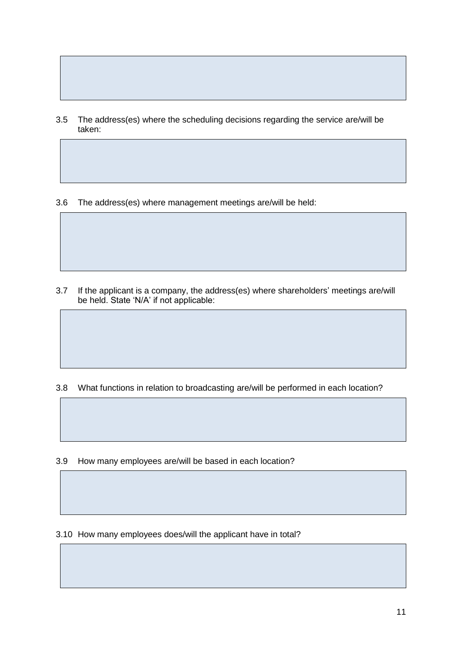- 3.5 The address(es) where the scheduling decisions regarding the service are/will be taken:
- 3.6 The address(es) where management meetings are/will be held:

3.7 If the applicant is a company, the address(es) where shareholders' meetings are/will be held. State 'N/A' if not applicable:

3.8 What functions in relation to broadcasting are/will be performed in each location?

3.9 How many employees are/will be based in each location?

3.10 How many employees does/will the applicant have in total?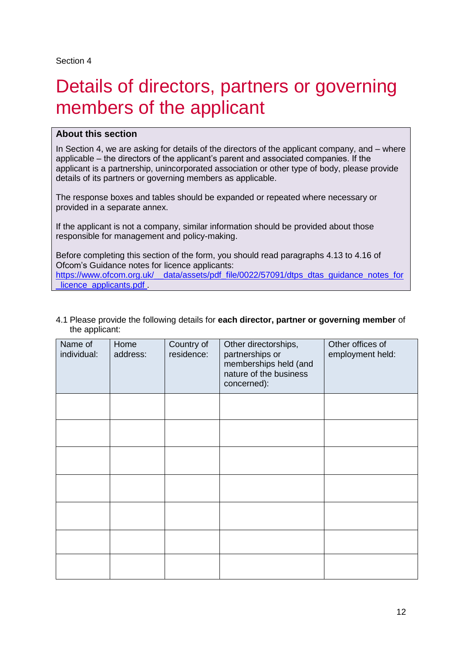## <span id="page-11-0"></span>Details of directors, partners or governing members of the applicant

#### **About this section**

In Section 4, we are asking for details of the directors of the applicant company, and – where applicable – the directors of the applicant's parent and associated companies. If the applicant is a partnership, unincorporated association or other type of body, please provide details of its partners or governing members as applicable.

The response boxes and tables should be expanded or repeated where necessary or provided in a separate annex.

If the applicant is not a company, similar information should be provided about those responsible for management and policy-making.

Before completing this section of the form, you should read paragraphs 4.13 to 4.16 of Ofcom's Guidance notes for licence applicants: https://www.ofcom.org.uk/ data/assets/pdf\_file/0022/57091/dtps\_dtas\_guidance\_notes\_for licence applicants.pdf

#### 4.1 Please provide the following details for **each director, partner or governing member** of the applicant:

| Name of<br>individual: | Home<br>address: | Country of<br>residence: | Other directorships,<br>partnerships or<br>memberships held (and<br>nature of the business<br>concerned): | Other offices of<br>employment held: |
|------------------------|------------------|--------------------------|-----------------------------------------------------------------------------------------------------------|--------------------------------------|
|                        |                  |                          |                                                                                                           |                                      |
|                        |                  |                          |                                                                                                           |                                      |
|                        |                  |                          |                                                                                                           |                                      |
|                        |                  |                          |                                                                                                           |                                      |
|                        |                  |                          |                                                                                                           |                                      |
|                        |                  |                          |                                                                                                           |                                      |
|                        |                  |                          |                                                                                                           |                                      |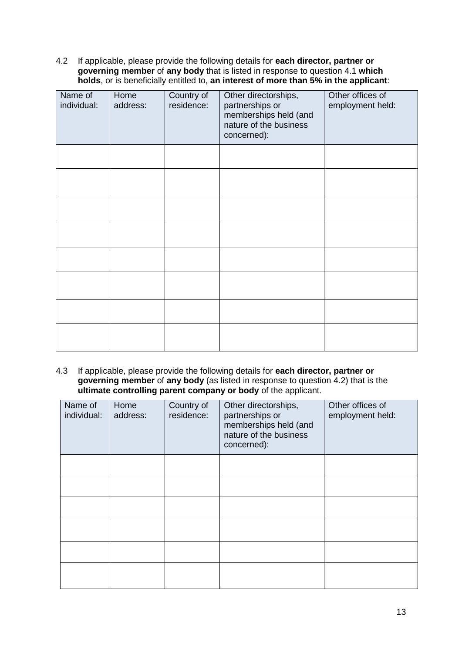4.2 If applicable, please provide the following details for **each director, partner or governing member** of **any body** that is listed in response to question 4.1 **which holds**, or is beneficially entitled to, **an interest of more than 5% in the applicant**:

| Name of<br>individual: | Home<br>address: | Country of<br>residence: | Other directorships,<br>partnerships or<br>memberships held (and<br>nature of the business<br>concerned): | Other offices of<br>employment held: |
|------------------------|------------------|--------------------------|-----------------------------------------------------------------------------------------------------------|--------------------------------------|
|                        |                  |                          |                                                                                                           |                                      |
|                        |                  |                          |                                                                                                           |                                      |
|                        |                  |                          |                                                                                                           |                                      |
|                        |                  |                          |                                                                                                           |                                      |
|                        |                  |                          |                                                                                                           |                                      |
|                        |                  |                          |                                                                                                           |                                      |
|                        |                  |                          |                                                                                                           |                                      |
|                        |                  |                          |                                                                                                           |                                      |

4.3 If applicable, please provide the following details for **each director, partner or governing member** of **any body** (as listed in response to question 4.2) that is the **ultimate controlling parent company or body** of the applicant.

| Name of<br>individual: | Home<br>address: | Country of<br>residence: | Other directorships,<br>partnerships or<br>memberships held (and<br>nature of the business<br>concerned): | Other offices of<br>employment held: |
|------------------------|------------------|--------------------------|-----------------------------------------------------------------------------------------------------------|--------------------------------------|
|                        |                  |                          |                                                                                                           |                                      |
|                        |                  |                          |                                                                                                           |                                      |
|                        |                  |                          |                                                                                                           |                                      |
|                        |                  |                          |                                                                                                           |                                      |
|                        |                  |                          |                                                                                                           |                                      |
|                        |                  |                          |                                                                                                           |                                      |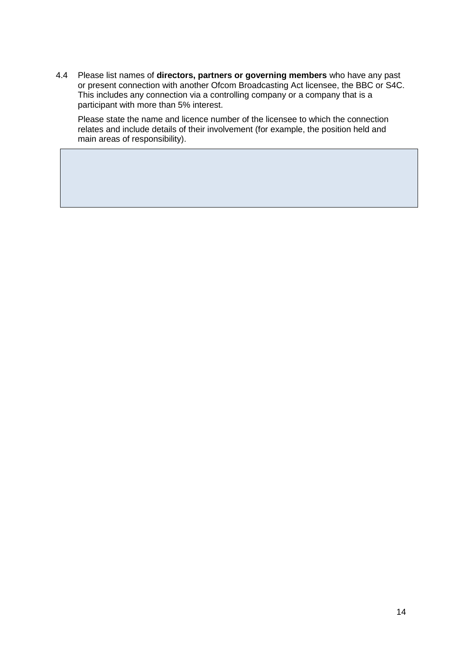4.4 Please list names of **directors, partners or governing members** who have any past or present connection with another Ofcom Broadcasting Act licensee, the BBC or S4C. This includes any connection via a controlling company or a company that is a participant with more than 5% interest.

Please state the name and licence number of the licensee to which the connection relates and include details of their involvement (for example, the position held and main areas of responsibility).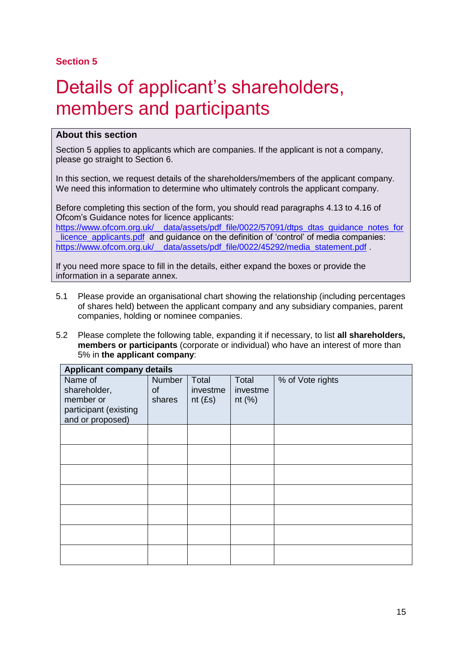## <span id="page-14-0"></span>Details of applicant's shareholders, members and participants

#### **About this section**

Section 5 applies to applicants which are companies. If the applicant is not a company, please go straight to Section 6.

In this section, we request details of the shareholders/members of the applicant company. We need this information to determine who ultimately controls the applicant company.

Before completing this section of the form, you should read paragraphs 4.13 to 4.16 of Ofcom's Guidance notes for licence applicants: https://www.ofcom.org.uk/\_data/assets/pdf\_file/0022/57091/dtps\_dtas\_guidance\_notes\_for licence applicants.pdf and guidance on the definition of 'control' of media companies: [https://www.ofcom.org.uk/\\_\\_data/assets/pdf\\_file/0022/45292/media\\_statement.pdf](https://www.ofcom.org.uk/__data/assets/pdf_file/0022/45292/media_statement.pdf)

If you need more space to fill in the details, either expand the boxes or provide the information in a separate annex.

- 5.1 Please provide an organisational chart showing the relationship (including percentages of shares held) between the applicant company and any subsidiary companies, parent companies, holding or nominee companies.
- 5.2 Please complete the following table, expanding it if necessary, to list **all shareholders, members or participants** (corporate or individual) who have an interest of more than 5% in **the applicant company**:

|                                                                                   | <b>Applicant company details</b> |                             |                                |                  |  |  |
|-----------------------------------------------------------------------------------|----------------------------------|-----------------------------|--------------------------------|------------------|--|--|
| Name of<br>shareholder,<br>member or<br>participant (existing<br>and or proposed) | <b>Number</b><br>of<br>shares    | Total<br>investme<br>nt(Es) | Total<br>investme<br>nt $(\%)$ | % of Vote rights |  |  |
|                                                                                   |                                  |                             |                                |                  |  |  |
|                                                                                   |                                  |                             |                                |                  |  |  |
|                                                                                   |                                  |                             |                                |                  |  |  |
|                                                                                   |                                  |                             |                                |                  |  |  |
|                                                                                   |                                  |                             |                                |                  |  |  |
|                                                                                   |                                  |                             |                                |                  |  |  |
|                                                                                   |                                  |                             |                                |                  |  |  |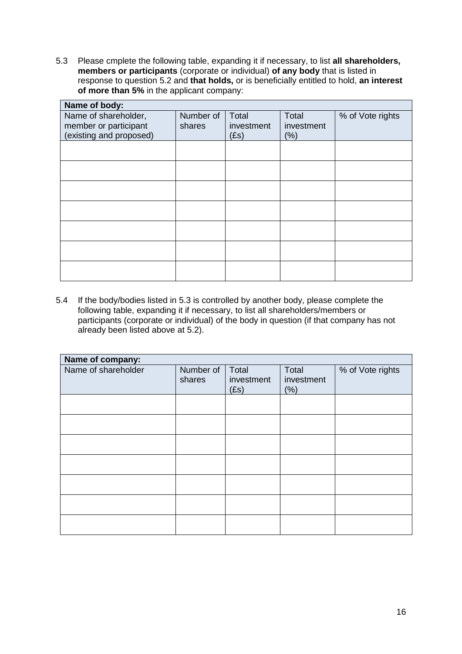5.3 Please cmplete the following table, expanding it if necessary, to list **all shareholders, members or participants** (corporate or individual) **of any body** that is listed in response to question 5.2 and **that holds,** or is beneficially entitled to hold, **an interest of more than 5%** in the applicant company:

| Name of body:           |           |            |            |                  |
|-------------------------|-----------|------------|------------|------------------|
| Name of shareholder,    | Number of | Total      | Total      | % of Vote rights |
| member or participant   | shares    | investment | investment |                  |
| (existing and proposed) |           | (Es)       | (% )       |                  |
|                         |           |            |            |                  |
|                         |           |            |            |                  |
|                         |           |            |            |                  |
|                         |           |            |            |                  |
|                         |           |            |            |                  |
|                         |           |            |            |                  |
|                         |           |            |            |                  |
|                         |           |            |            |                  |
|                         |           |            |            |                  |
|                         |           |            |            |                  |
|                         |           |            |            |                  |
|                         |           |            |            |                  |
|                         |           |            |            |                  |
|                         |           |            |            |                  |

5.4 If the body/bodies listed in 5.3 is controlled by another body, please complete the following table, expanding it if necessary, to list all shareholders/members or participants (corporate or individual) of the body in question (if that company has not already been listed above at 5.2).

| Name of company:    |                     |                             |                             |                  |  |
|---------------------|---------------------|-----------------------------|-----------------------------|------------------|--|
| Name of shareholder | Number of<br>shares | Total<br>investment<br>(Es) | Total<br>investment<br>(% ) | % of Vote rights |  |
|                     |                     |                             |                             |                  |  |
|                     |                     |                             |                             |                  |  |
|                     |                     |                             |                             |                  |  |
|                     |                     |                             |                             |                  |  |
|                     |                     |                             |                             |                  |  |
|                     |                     |                             |                             |                  |  |
|                     |                     |                             |                             |                  |  |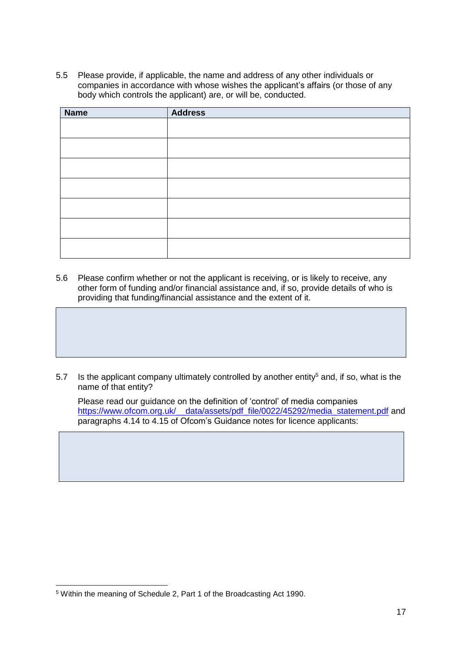5.5 Please provide, if applicable, the name and address of any other individuals or companies in accordance with whose wishes the applicant's affairs (or those of any body which controls the applicant) are, or will be, conducted.

| <b>Name</b> | <b>Address</b> |
|-------------|----------------|
|             |                |
|             |                |
|             |                |
|             |                |
|             |                |
|             |                |
|             |                |
|             |                |

5.6 Please confirm whether or not the applicant is receiving, or is likely to receive, any other form of funding and/or financial assistance and, if so, provide details of who is providing that funding/financial assistance and the extent of it.

5.7 Is the applicant company ultimately controlled by another entity<sup>5</sup> and, if so, what is the name of that entity?

Please read our guidance on the definition of 'control' of media companies [https://www.ofcom.org.uk/\\_\\_data/assets/pdf\\_file/0022/45292/media\\_statement.pdf](https://www.ofcom.org.uk/__data/assets/pdf_file/0022/45292/media_statement.pdf) and paragraphs 4.14 to 4.15 of Ofcom's Guidance notes for licence applicants:

<sup>-</sup><sup>5</sup> Within the meaning of Schedule 2, Part 1 of the Broadcasting Act 1990.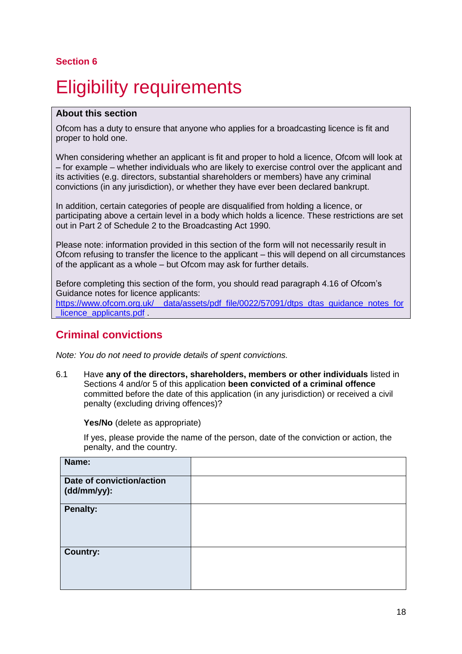# <span id="page-17-0"></span>**Eligibility requirements**

#### **About this section**

Ofcom has a duty to ensure that anyone who applies for a broadcasting licence is fit and proper to hold one.

When considering whether an applicant is fit and proper to hold a licence, Ofcom will look at – for example – whether individuals who are likely to exercise control over the applicant and its activities (e.g. directors, substantial shareholders or members) have any criminal convictions (in any jurisdiction), or whether they have ever been declared bankrupt.

In addition, certain categories of people are disqualified from holding a licence, or participating above a certain level in a body which holds a licence. These restrictions are set out in Part 2 of Schedule 2 to the Broadcasting Act 1990.

Please note: information provided in this section of the form will not necessarily result in Ofcom refusing to transfer the licence to the applicant – this will depend on all circumstances of the applicant as a whole – but Ofcom may ask for further details.

Before completing this section of the form, you should read paragraph 4.16 of Ofcom's Guidance notes for licence applicants: https://www.ofcom.org.uk/ data/assets/pdf file/0022/57091/dtps dtas guidance notes for

licence applicants.pdf.

## **Criminal convictions**

*Note: You do not need to provide details of spent convictions.*

6.1 Have **any of the directors, shareholders, members or other individuals** listed in Sections 4 and/or 5 of this application **been convicted of a criminal offence** committed before the date of this application (in any jurisdiction) or received a civil penalty (excluding driving offences)?

#### **Yes/No** (delete as appropriate)

If yes, please provide the name of the person, date of the conviction or action, the penalty, and the country.

| Name:                                    |  |
|------------------------------------------|--|
| Date of conviction/action<br>(dd/mm/yy): |  |
| <b>Penalty:</b>                          |  |
| <b>Country:</b>                          |  |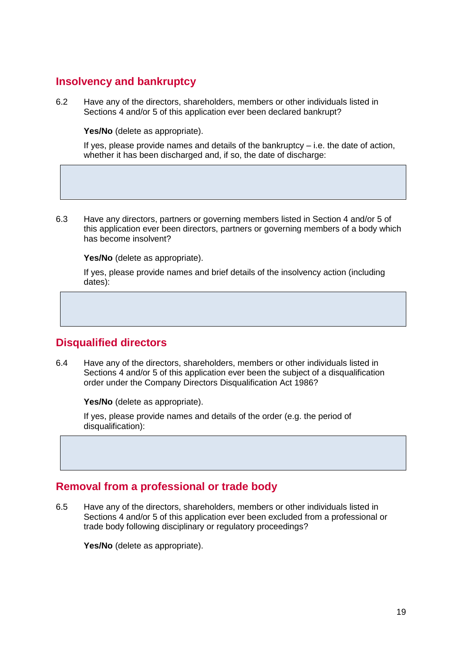## **Insolvency and bankruptcy**

6.2 Have any of the directors, shareholders, members or other individuals listed in Sections 4 and/or 5 of this application ever been declared bankrupt?

**Yes/No** (delete as appropriate).

If yes, please provide names and details of the bankruptcy  $-$  i.e. the date of action, whether it has been discharged and, if so, the date of discharge:

6.3 Have any directors, partners or governing members listed in Section 4 and/or 5 of this application ever been directors, partners or governing members of a body which has become insolvent?

**Yes/No** (delete as appropriate).

If yes, please provide names and brief details of the insolvency action (including dates):

## **Disqualified directors**

6.4 Have any of the directors, shareholders, members or other individuals listed in Sections 4 and/or 5 of this application ever been the subject of a disqualification order under the Company Directors Disqualification Act 1986?

**Yes/No** (delete as appropriate).

If yes, please provide names and details of the order (e.g. the period of disqualification):

## **Removal from a professional or trade body**

6.5 Have any of the directors, shareholders, members or other individuals listed in Sections 4 and/or 5 of this application ever been excluded from a professional or trade body following disciplinary or regulatory proceedings?

**Yes/No** (delete as appropriate).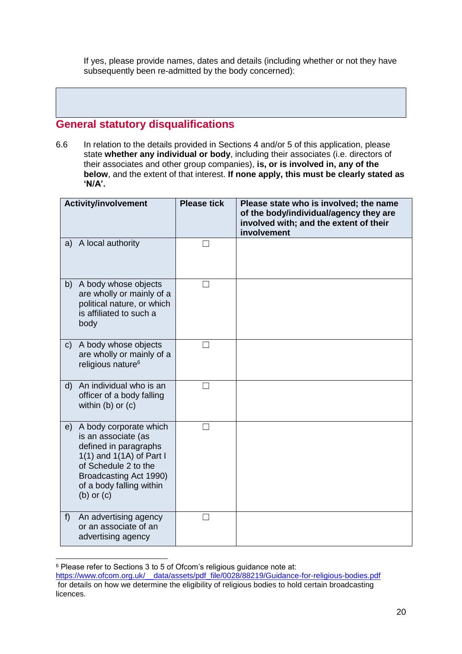If yes, please provide names, dates and details (including whether or not they have subsequently been re-admitted by the body concerned):

## **General statutory disqualifications**

6.6 In relation to the details provided in Sections 4 and/or 5 of this application, please state **whether any individual or body**, including their associates (i.e. directors of their associates and other group companies), **is, or is involved in, any of the below**, and the extent of that interest. **If none apply, this must be clearly stated as 'N/A'.**

| <b>Activity/involvement</b>                                                                                                                                                                                | <b>Please tick</b> | Please state who is involved; the name<br>of the body/individual/agency they are<br>involved with; and the extent of their<br>involvement |
|------------------------------------------------------------------------------------------------------------------------------------------------------------------------------------------------------------|--------------------|-------------------------------------------------------------------------------------------------------------------------------------------|
| A local authority<br>a)                                                                                                                                                                                    |                    |                                                                                                                                           |
| A body whose objects<br>b)<br>are wholly or mainly of a<br>political nature, or which<br>is affiliated to such a<br>body                                                                                   | П                  |                                                                                                                                           |
| A body whose objects<br>$\mathsf{C}$<br>are wholly or mainly of a<br>religious nature <sup>6</sup>                                                                                                         |                    |                                                                                                                                           |
| An individual who is an<br>$\mathsf{d}$<br>officer of a body falling<br>within $(b)$ or $(c)$                                                                                                              | $\vert \ \ \vert$  |                                                                                                                                           |
| A body corporate which<br>e)<br>is an associate (as<br>defined in paragraphs<br>1(1) and $1(1A)$ of Part I<br>of Schedule 2 to the<br>Broadcasting Act 1990)<br>of a body falling within<br>$(b)$ or $(c)$ | $\mathsf{L}$       |                                                                                                                                           |
| An advertising agency<br>f<br>or an associate of an<br>advertising agency                                                                                                                                  | l.                 |                                                                                                                                           |

<sup>-</sup><sup>6</sup> Please refer to Sections 3 to 5 of Ofcom's religious guidance note at:

[https://www.ofcom.org.uk/\\_\\_data/assets/pdf\\_file/0028/88219/Guidance-for-religious-bodies.pdf](https://www.ofcom.org.uk/__data/assets/pdf_file/0028/88219/Guidance-for-religious-bodies.pdf) for details on how we determine the eligibility of religious bodies to hold certain broadcasting licences.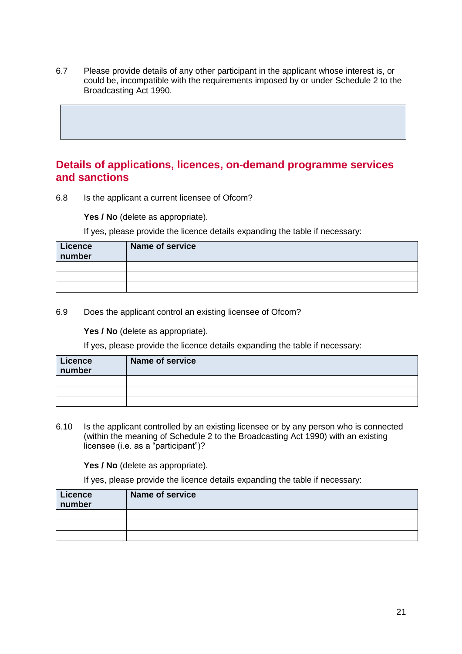6.7 Please provide details of any other participant in the applicant whose interest is, or could be, incompatible with the requirements imposed by or under Schedule 2 to the Broadcasting Act 1990.

### **Details of applications, licences, on-demand programme services and sanctions**

6.8 Is the applicant a current licensee of Ofcom?

Yes / No (delete as appropriate).

If yes, please provide the licence details expanding the table if necessary:

| Licence<br>number | Name of service |
|-------------------|-----------------|
|                   |                 |
|                   |                 |
|                   |                 |

6.9 Does the applicant control an existing licensee of Ofcom?

Yes / No (delete as appropriate).

If yes, please provide the licence details expanding the table if necessary:

| <b>Licence</b><br>number | Name of service |
|--------------------------|-----------------|
|                          |                 |
|                          |                 |
|                          |                 |

6.10 Is the applicant controlled by an existing licensee or by any person who is connected (within the meaning of Schedule 2 to the Broadcasting Act 1990) with an existing licensee (i.e. as a "participant")?

Yes / No (delete as appropriate).

If yes, please provide the licence details expanding the table if necessary:

| Licence<br>number | <b>Name of service</b> |
|-------------------|------------------------|
|                   |                        |
|                   |                        |
|                   |                        |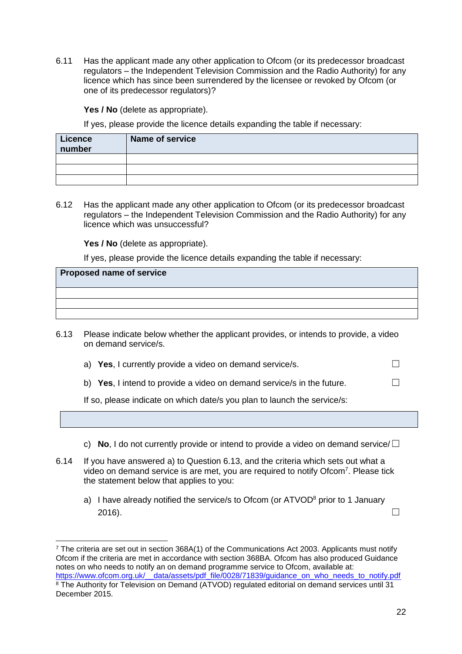6.11 Has the applicant made any other application to Ofcom (or its predecessor broadcast regulators – the Independent Television Commission and the Radio Authority) for any licence which has since been surrendered by the licensee or revoked by Ofcom (or one of its predecessor regulators)?

Yes / No (delete as appropriate).

If yes, please provide the licence details expanding the table if necessary:

| <b>Licence</b><br>number | Name of service |
|--------------------------|-----------------|
|                          |                 |
|                          |                 |
|                          |                 |

6.12 Has the applicant made any other application to Ofcom (or its predecessor broadcast regulators – the Independent Television Commission and the Radio Authority) for any licence which was unsuccessful?

Yes / No (delete as appropriate).

-

If yes, please provide the licence details expanding the table if necessary:

| <b>Proposed name of service</b> |  |
|---------------------------------|--|
|                                 |  |
|                                 |  |
|                                 |  |

- 6.13 Please indicate below whether the applicant provides, or intends to provide, a video on demand service/s.
	- a) **Yes**, I currently provide a video on demand service/s.  $\Box$
	- b) **Yes**, I intend to provide a video on demand service/s in the future.  $\Box$

If so, please indicate on which date/s you plan to launch the service/s:

- c) **No**, I do not currently provide or intend to provide a video on demand service/☐
- 6.14 If you have answered a) to Question 6.13, and the criteria which sets out what a video on demand service is are met, you are required to notify Ofcom<sup>7</sup>. Please tick the statement below that applies to you:
	- a) I have already notified the service/s to Ofcom (or  $ATVOD<sup>8</sup>$  prior to 1 January 2016).  $\Box$

<sup>7</sup> The criteria are set out in section 368A(1) of the Communications Act 2003. Applicants must notify Ofcom if the criteria are met in accordance with section 368BA. Ofcom has also produced Guidance notes on who needs to notify an on demand programme service to Ofcom, available at: [https://www.ofcom.org.uk/\\_\\_data/assets/pdf\\_file/0028/71839/guidance\\_on\\_who\\_needs\\_to\\_notify.pdf](https://www.ofcom.org.uk/__data/assets/pdf_file/0028/71839/guidance_on_who_needs_to_notify.pdf) <sup>8</sup> The Authority for Television on Demand (ATVOD) regulated editorial on demand services until 31 December 2015.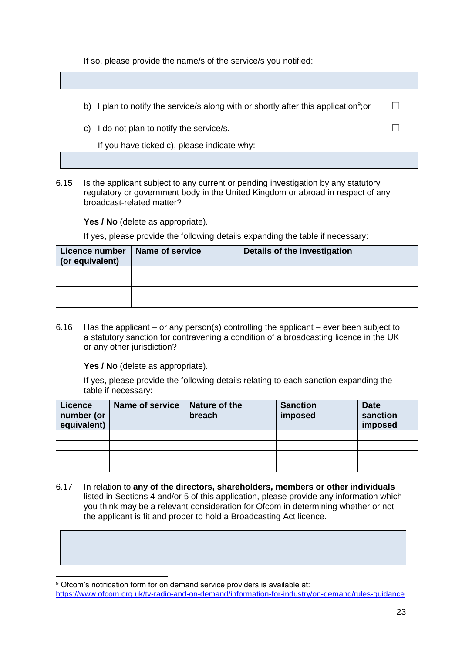If so, please provide the name/s of the service/s you notified:

| b) I plan to notify the service/s along with or shortly after this application <sup>9</sup> ; or |  |
|--------------------------------------------------------------------------------------------------|--|
| c) I do not plan to notify the service/s.                                                        |  |
| If you have ticked c), please indicate why:                                                      |  |

6.15 Is the applicant subject to any current or pending investigation by any statutory regulatory or government body in the United Kingdom or abroad in respect of any broadcast-related matter?

Yes / No (delete as appropriate).

If yes, please provide the following details expanding the table if necessary:

| Licence number<br>(or equivalent) | Name of service | Details of the investigation |
|-----------------------------------|-----------------|------------------------------|
|                                   |                 |                              |
|                                   |                 |                              |
|                                   |                 |                              |
|                                   |                 |                              |

6.16 Has the applicant – or any person(s) controlling the applicant – ever been subject to a statutory sanction for contravening a condition of a broadcasting licence in the UK or any other jurisdiction?

**Yes / No** (delete as appropriate).

If yes, please provide the following details relating to each sanction expanding the table if necessary:

| <b>Licence</b><br>number (or<br>equivalent) | <b>Name of service</b> | Nature of the<br>breach | <b>Sanction</b><br>imposed | <b>Date</b><br>sanction<br>imposed |
|---------------------------------------------|------------------------|-------------------------|----------------------------|------------------------------------|
|                                             |                        |                         |                            |                                    |
|                                             |                        |                         |                            |                                    |
|                                             |                        |                         |                            |                                    |
|                                             |                        |                         |                            |                                    |

6.17 In relation to **any of the directors, shareholders, members or other individuals** listed in Sections 4 and/or 5 of this application, please provide any information which you think may be a relevant consideration for Ofcom in determining whether or not the applicant is fit and proper to hold a Broadcasting Act licence.

<https://www.ofcom.org.uk/tv-radio-and-on-demand/information-for-industry/on-demand/rules-guidance>

<sup>-</sup><sup>9</sup> Ofcom's notification form for on demand service providers is available at: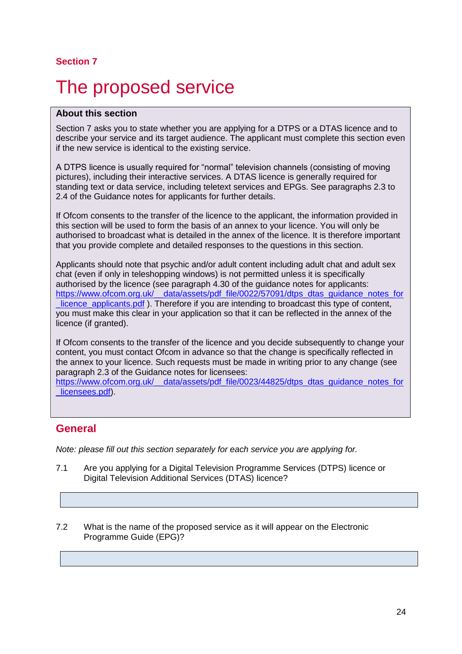## <span id="page-23-0"></span>The proposed service

#### **About this section**

Section 7 asks you to state whether you are applying for a DTPS or a DTAS licence and to describe your service and its target audience. The applicant must complete this section even if the new service is identical to the existing service.

A DTPS licence is usually required for "normal" television channels (consisting of moving pictures), including their interactive services. A DTAS licence is generally required for standing text or data service, including teletext services and EPGs. See paragraphs 2.3 to 2.4 of the Guidance notes for applicants for further details.

If Ofcom consents to the transfer of the licence to the applicant, the information provided in this section will be used to form the basis of an annex to your licence. You will only be authorised to broadcast what is detailed in the annex of the licence. It is therefore important that you provide complete and detailed responses to the questions in this section.

Applicants should note that psychic and/or adult content including adult chat and adult sex chat (even if only in teleshopping windows) is not permitted unless it is specifically authorised by the licence (see paragraph 4.30 of the guidance notes for applicants: [https://www.ofcom.org.uk/\\_\\_data/assets/pdf\\_file/0022/57091/dtps\\_dtas\\_guidance\\_notes\\_for](https://www.ofcom.org.uk/__data/assets/pdf_file/0022/57091/dtps_dtas_guidance_notes_for_licence_applicants.pdf) [\\_licence\\_applicants.pdf](https://www.ofcom.org.uk/__data/assets/pdf_file/0022/57091/dtps_dtas_guidance_notes_for_licence_applicants.pdf) ). Therefore if you are intending to broadcast this type of content, you must make this clear in your application so that it can be reflected in the annex of the licence (if granted).

If Ofcom consents to the transfer of the licence and you decide subsequently to change your content, you must contact Ofcom in advance so that the change is specifically reflected in the annex to your licence. Such requests must be made in writing prior to any change (see paragraph 2.3 of the Guidance notes for licensees:

[https://www.ofcom.org.uk/\\_\\_data/assets/pdf\\_file/0023/44825/dtps\\_dtas\\_guidance\\_notes\\_for](https://www.ofcom.org.uk/__data/assets/pdf_file/0023/44825/dtps_dtas_guidance_notes_for_licensees.pdf) licensees.pdf).

## **General**

*Note: please fill out this section separately for each service you are applying for.*

- 7.1 Are you applying for a Digital Television Programme Services (DTPS) licence or Digital Television Additional Services (DTAS) licence?
- 7.2 What is the name of the proposed service as it will appear on the Electronic Programme Guide (EPG)?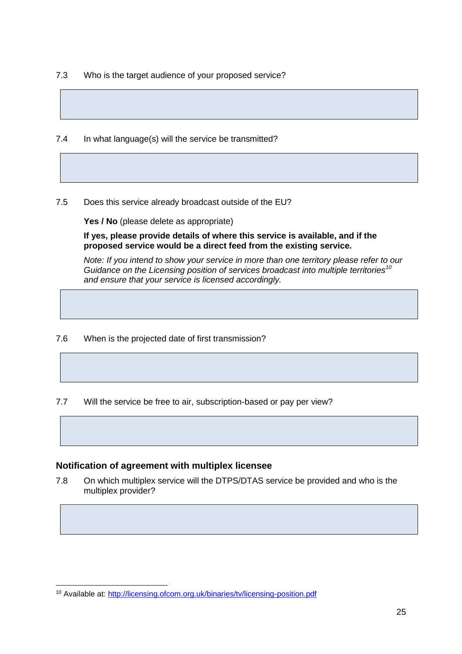7.3 Who is the target audience of your proposed service?

7.4 In what language(s) will the service be transmitted?

7.5 Does this service already broadcast outside of the EU?

**Yes / No** (please delete as appropriate)

**If yes, please provide details of where this service is available, and if the proposed service would be a direct feed from the existing service.**

*Note: If you intend to show your service in more than one territory please refer to our Guidance on the Licensing position of services broadcast into multiple territories<sup>10</sup> and ensure that your service is licensed accordingly.*

7.6 When is the projected date of first transmission?

7.7 Will the service be free to air, subscription-based or pay per view?

#### **Notification of agreement with multiplex licensee**

-

7.8 On which multiplex service will the DTPS/DTAS service be provided and who is the multiplex provider?

<sup>10</sup> Available at:<http://licensing.ofcom.org.uk/binaries/tv/licensing-position.pdf>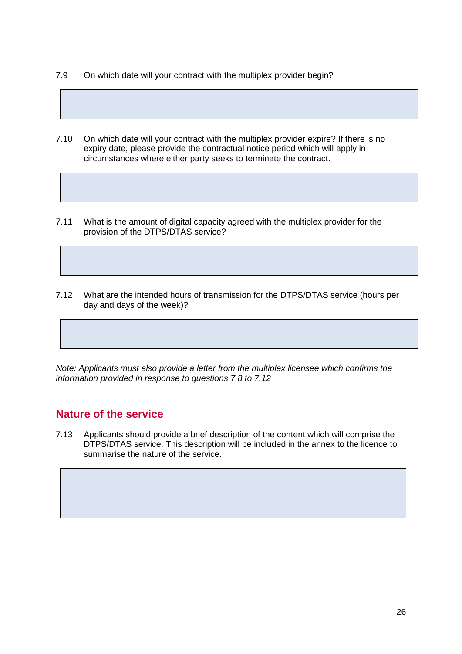- 7.9 On which date will your contract with the multiplex provider begin?
- 7.10 On which date will your contract with the multiplex provider expire? If there is no expiry date, please provide the contractual notice period which will apply in circumstances where either party seeks to terminate the contract.
- 7.11 What is the amount of digital capacity agreed with the multiplex provider for the provision of the DTPS/DTAS service?
- 7.12 What are the intended hours of transmission for the DTPS/DTAS service (hours per day and days of the week)?

*Note: Applicants must also provide a letter from the multiplex licensee which confirms the information provided in response to questions 7.8 to 7.12*

## **Nature of the service**

7.13 Applicants should provide a brief description of the content which will comprise the DTPS/DTAS service. This description will be included in the annex to the licence to summarise the nature of the service.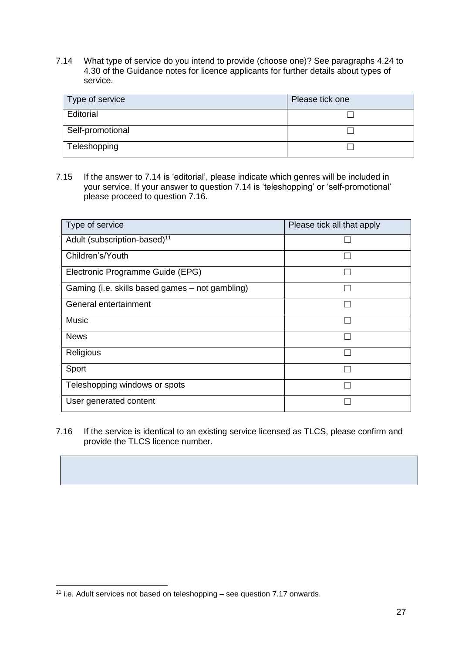7.14 What type of service do you intend to provide (choose one)? See paragraphs 4.24 to 4.30 of the Guidance notes for licence applicants for further details about types of service.

| Type of service  | Please tick one |
|------------------|-----------------|
| Editorial        |                 |
| Self-promotional |                 |
| Teleshopping     |                 |

7.15 If the answer to 7.14 is 'editorial', please indicate which genres will be included in your service. If your answer to question 7.14 is 'teleshopping' or 'self-promotional' please proceed to question 7.16.

| Type of service                                 | Please tick all that apply |
|-------------------------------------------------|----------------------------|
| Adult (subscription-based) <sup>11</sup>        |                            |
| Children's/Youth                                |                            |
| Electronic Programme Guide (EPG)                |                            |
| Gaming (i.e. skills based games – not gambling) |                            |
| General entertainment                           |                            |
| <b>Music</b>                                    |                            |
| <b>News</b>                                     |                            |
| Religious                                       |                            |
| Sport                                           |                            |
| Teleshopping windows or spots                   |                            |
| User generated content                          |                            |

7.16 If the service is identical to an existing service licensed as TLCS, please confirm and provide the TLCS licence number.

<sup>-</sup><sup>11</sup> i.e. Adult services not based on teleshopping – see question 7.17 onwards.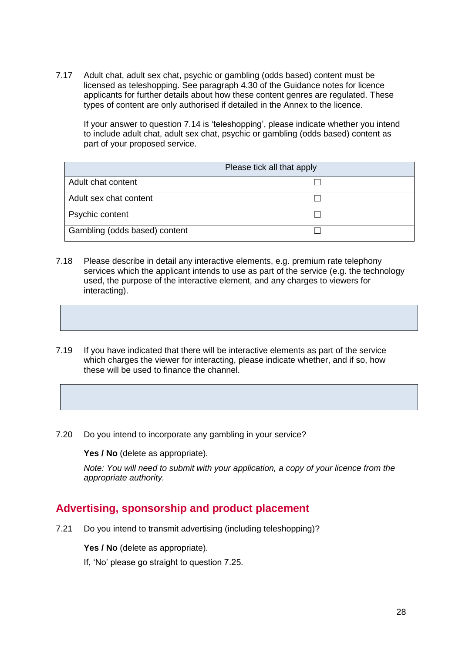7.17 Adult chat, adult sex chat, psychic or gambling (odds based) content must be licensed as teleshopping. See paragraph 4.30 of the Guidance notes for licence applicants for further details about how these content genres are regulated. These types of content are only authorised if detailed in the Annex to the licence.

If your answer to question 7.14 is 'teleshopping', please indicate whether you intend to include adult chat, adult sex chat, psychic or gambling (odds based) content as part of your proposed service.

|                               | Please tick all that apply |
|-------------------------------|----------------------------|
| Adult chat content            |                            |
| Adult sex chat content        |                            |
| Psychic content               |                            |
| Gambling (odds based) content |                            |

- 7.18 Please describe in detail any interactive elements, e.g. premium rate telephony services which the applicant intends to use as part of the service (e.g. the technology used, the purpose of the interactive element, and any charges to viewers for interacting).
- 7.19 If you have indicated that there will be interactive elements as part of the service which charges the viewer for interacting, please indicate whether, and if so, how these will be used to finance the channel.
- 7.20 Do you intend to incorporate any gambling in your service?

**Yes / No** (delete as appropriate).

*Note: You will need to submit with your application, a copy of your licence from the appropriate authority.*

#### **Advertising, sponsorship and product placement**

7.21 Do you intend to transmit advertising (including teleshopping)?

Yes / No (delete as appropriate).

If, 'No' please go straight to question 7.25.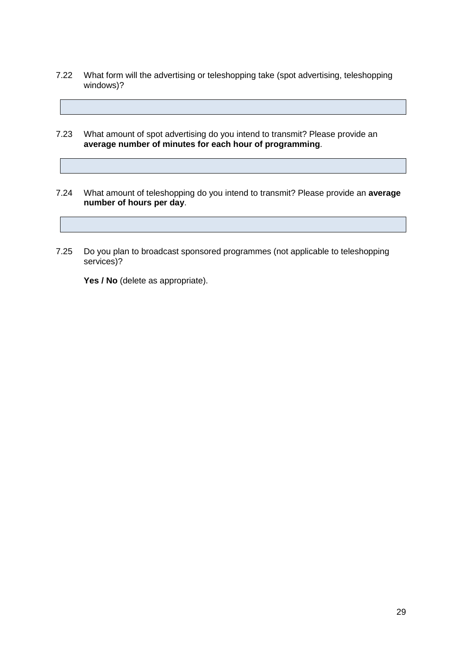- 7.22 What form will the advertising or teleshopping take (spot advertising, teleshopping windows)?
- 7.23 What amount of spot advertising do you intend to transmit? Please provide an **average number of minutes for each hour of programming**.
- 7.24 What amount of teleshopping do you intend to transmit? Please provide an **average number of hours per day**.
- 7.25 Do you plan to broadcast sponsored programmes (not applicable to teleshopping services)?

Yes / No (delete as appropriate).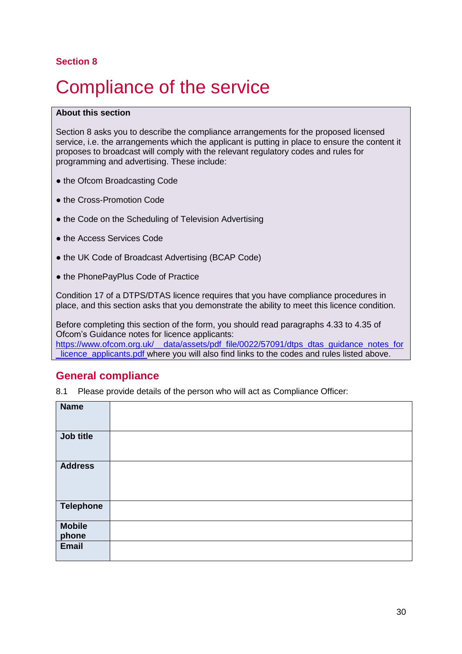## <span id="page-29-0"></span>*Compliance of the service*

#### **About this section**

Section 8 asks you to describe the compliance arrangements for the proposed licensed service, i.e. the arrangements which the applicant is putting in place to ensure the content it proposes to broadcast will comply with the relevant regulatory codes and rules for programming and advertising. These include:

- the Ofcom Broadcasting Code
- the Cross-Promotion Code
- the Code on the Scheduling of Television Advertising
- the Access Services Code
- the UK Code of Broadcast Advertising (BCAP Code)
- the PhonePayPlus Code of Practice

Condition 17 of a DTPS/DTAS licence requires that you have compliance procedures in place, and this section asks that you demonstrate the ability to meet this licence condition.

Before completing this section of the form, you should read paragraphs 4.33 to 4.35 of Ofcom's Guidance notes for licence applicants: https://www.ofcom.org.uk/ data/assets/pdf file/0022/57091/dtps dtas guidance notes for licence\_applicants.pdf where you will also find links to the codes and rules listed above.

#### **General compliance**

8.1 Please provide details of the person who will act as Compliance Officer:

| <b>Name</b>            |  |
|------------------------|--|
| Job title              |  |
| <b>Address</b>         |  |
| <b>Telephone</b>       |  |
| <b>Mobile</b><br>phone |  |
| <b>Email</b>           |  |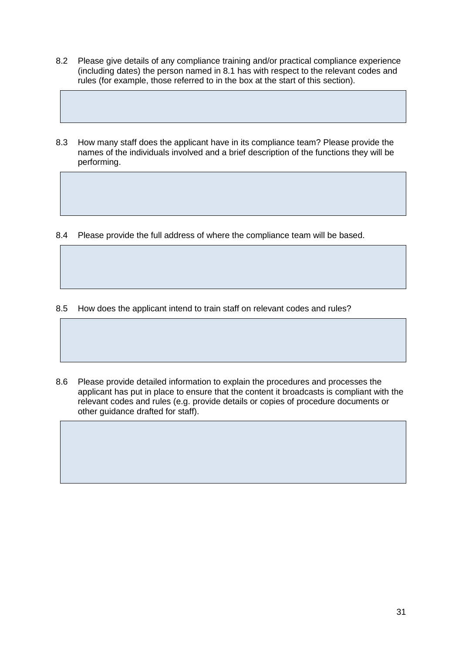- 8.2 Please give details of any compliance training and/or practical compliance experience (including dates) the person named in 8.1 has with respect to the relevant codes and rules (for example, those referred to in the box at the start of this section).
- 8.3 How many staff does the applicant have in its compliance team? Please provide the names of the individuals involved and a brief description of the functions they will be performing.

8.4 Please provide the full address of where the compliance team will be based.

- 8.5 How does the applicant intend to train staff on relevant codes and rules?
- 8.6 Please provide detailed information to explain the procedures and processes the applicant has put in place to ensure that the content it broadcasts is compliant with the relevant codes and rules (e.g. provide details or copies of procedure documents or other guidance drafted for staff).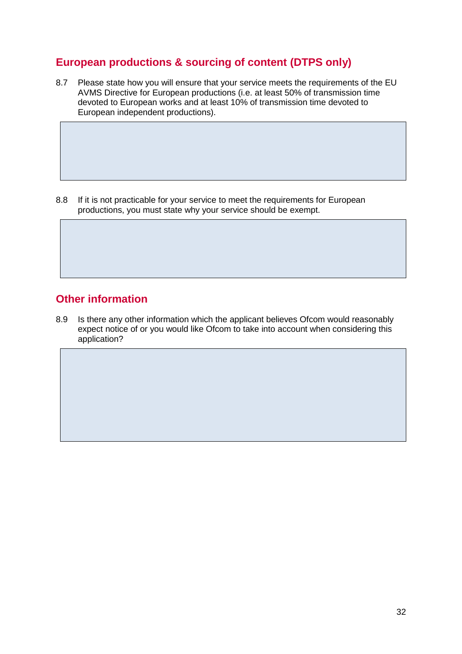## **European productions & sourcing of content (DTPS only)**

8.7 Please state how you will ensure that your service meets the requirements of the EU AVMS Directive for European productions (i.e. at least 50% of transmission time devoted to European works and at least 10% of transmission time devoted to European independent productions).

8.8 If it is not practicable for your service to meet the requirements for European productions, you must state why your service should be exempt.

## **Other information**

8.9 Is there any other information which the applicant believes Ofcom would reasonably expect notice of or you would like Ofcom to take into account when considering this application?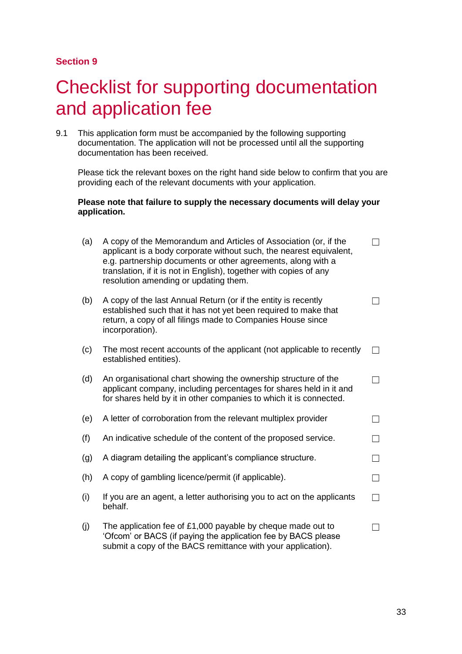## <span id="page-32-0"></span>**Checklist for supporting documentation** and application fee

9.1 This application form must be accompanied by the following supporting documentation. The application will not be processed until all the supporting documentation has been received.

Please tick the relevant boxes on the right hand side below to confirm that you are providing each of the relevant documents with your application.

#### **Please note that failure to supply the necessary documents will delay your application.**

| (a) | A copy of the Memorandum and Articles of Association (or, if the<br>applicant is a body corporate without such, the nearest equivalent,<br>e.g. partnership documents or other agreements, along with a<br>translation, if it is not in English), together with copies of any<br>resolution amending or updating them. |  |
|-----|------------------------------------------------------------------------------------------------------------------------------------------------------------------------------------------------------------------------------------------------------------------------------------------------------------------------|--|
| (b) | A copy of the last Annual Return (or if the entity is recently<br>established such that it has not yet been required to make that<br>return, a copy of all filings made to Companies House since<br>incorporation).                                                                                                    |  |
| (c) | The most recent accounts of the applicant (not applicable to recently<br>established entities).                                                                                                                                                                                                                        |  |
| (d) | An organisational chart showing the ownership structure of the<br>applicant company, including percentages for shares held in it and<br>for shares held by it in other companies to which it is connected.                                                                                                             |  |
| (e) | A letter of corroboration from the relevant multiplex provider                                                                                                                                                                                                                                                         |  |
| (f) | An indicative schedule of the content of the proposed service.                                                                                                                                                                                                                                                         |  |
| (g) | A diagram detailing the applicant's compliance structure.                                                                                                                                                                                                                                                              |  |
| (h) | A copy of gambling licence/permit (if applicable).                                                                                                                                                                                                                                                                     |  |
| (i) | If you are an agent, a letter authorising you to act on the applicants<br>behalf.                                                                                                                                                                                                                                      |  |
| (j) | The application fee of $£1,000$ payable by cheque made out to<br>'Ofcom' or BACS (if paying the application fee by BACS please<br>submit a copy of the BACS remittance with your application).                                                                                                                         |  |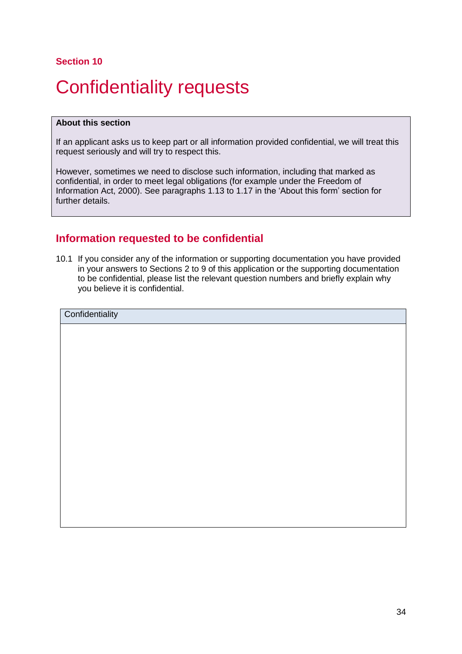# <span id="page-33-0"></span>Confidentiality requests

#### **About this section**

If an applicant asks us to keep part or all information provided confidential, we will treat this request seriously and will try to respect this.

However, sometimes we need to disclose such information, including that marked as confidential, in order to meet legal obligations (for example under the Freedom of Information Act, 2000). See paragraphs 1.13 to 1.17 in the 'About this form' section for further details.

## **Information requested to be confidential**

10.1 If you consider any of the information or supporting documentation you have provided in your answers to Sections 2 to 9 of this application or the supporting documentation to be confidential, please list the relevant question numbers and briefly explain why you believe it is confidential.

**Confidentiality**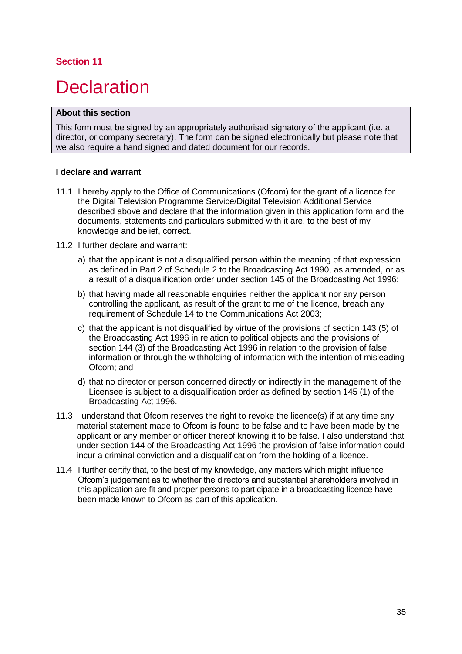## <span id="page-34-0"></span>**Declaration**

#### **About this section**

This form must be signed by an appropriately authorised signatory of the applicant (i.e. a director, or company secretary). The form can be signed electronically but please note that we also require a hand signed and dated document for our records.

#### **I declare and warrant**

- 11.1 I hereby apply to the Office of Communications (Ofcom) for the grant of a licence for the Digital Television Programme Service/Digital Television Additional Service described above and declare that the information given in this application form and the documents, statements and particulars submitted with it are, to the best of my knowledge and belief, correct.
- 11.2 I further declare and warrant:
	- a) that the applicant is not a disqualified person within the meaning of that expression as defined in Part 2 of Schedule 2 to the Broadcasting Act 1990, as amended, or as a result of a disqualification order under section 145 of the Broadcasting Act 1996;
	- b) that having made all reasonable enquiries neither the applicant nor any person controlling the applicant, as result of the grant to me of the licence, breach any requirement of Schedule 14 to the Communications Act 2003;
	- c) that the applicant is not disqualified by virtue of the provisions of section 143 (5) of the Broadcasting Act 1996 in relation to political objects and the provisions of section 144 (3) of the Broadcasting Act 1996 in relation to the provision of false information or through the withholding of information with the intention of misleading Ofcom; and
	- d) that no director or person concerned directly or indirectly in the management of the Licensee is subject to a disqualification order as defined by section 145 (1) of the Broadcasting Act 1996.
- 11.3 I understand that Ofcom reserves the right to revoke the licence(s) if at any time any material statement made to Ofcom is found to be false and to have been made by the applicant or any member or officer thereof knowing it to be false. I also understand that under section 144 of the Broadcasting Act 1996 the provision of false information could incur a criminal conviction and a disqualification from the holding of a licence.
- 11.4 I further certify that, to the best of my knowledge, any matters which might influence Ofcom's judgement as to whether the directors and substantial shareholders involved in this application are fit and proper persons to participate in a broadcasting licence have been made known to Ofcom as part of this application.